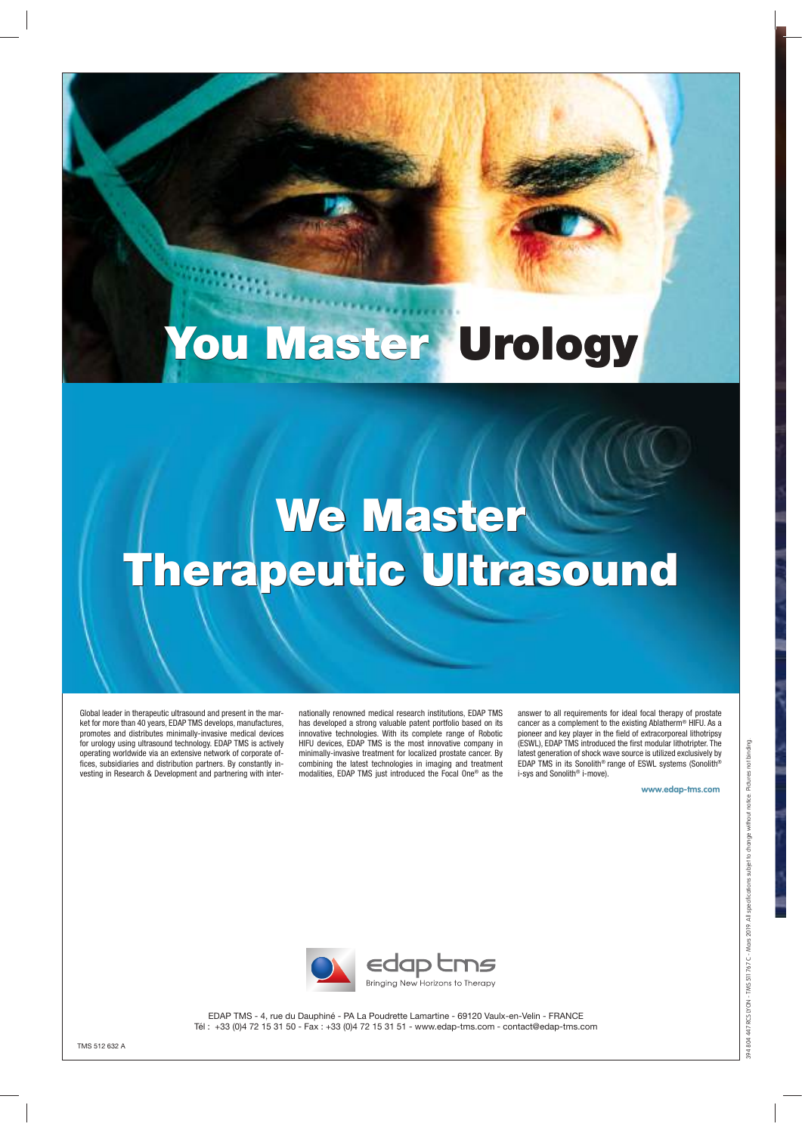# You Master Urology You Master Urology

# We Master Therapeutic Ultrasound Therapeutic Ultrasound

Global leader in therapeutic ultrasound and present in the mar-ket for more than 40 years, EDAP TMS develops, manufactures, promotes and distributes minimally-invasive medical devices for urology using ultrasound technology. EDAP TMS is actively operating worldwide via an extensive network of corporate of-fices, subsidiaries and distribution partners. By constantly investing in Research & Development and partnering with inter-

nationally renowned medical research institutions, EDAP TMS has developed a strong valuable patent portfolio based on its innovative technologies. With its complete range of Robotic HIFU devices, EDAP TMS is the most innovative company in minimally-invasive treatment for localized prostate cancer. By combining the latest technologies in imaging and treatment modalities, EDAP TMS just introduced the Focal One® as the

answer to all requirements for ideal focal therapy of prostate cancer as a complement to the existing Ablatherm® HIFU. As a pioneer and key player in the field of extracorporeal lithotripsy (ESWL), EDAP TMS introduced the first modular lithotripter. The latest generation of shock wave source is utilized exclusively by EDAP TMS in its Sonolith® range of ESWL systems (Sonolith® i-sys and Sonolith® i-move).

**www.edap-tms.com**



EDAP TMS - 4, rue du Dauphiné - PA La Poudrette Lamartine - 69120 Vaulx-en-Velin - FRANCE Tél : +33 (0)4 72 15 31 50 - Fax : +33 (0)4 72 15 31 51 - www.edap-tms.com - contact@edap-tms.com

TMS 512 632 A

394 804 447 RCS LYON - TMS 511 767 C - Mars 2019. All specifications subjet to change without notice. Pictures not binding.

994 804 447 RCS LYON - TMS 511 767 C - Mars 2019. All specifications subjet to change without notice. Pictures not binding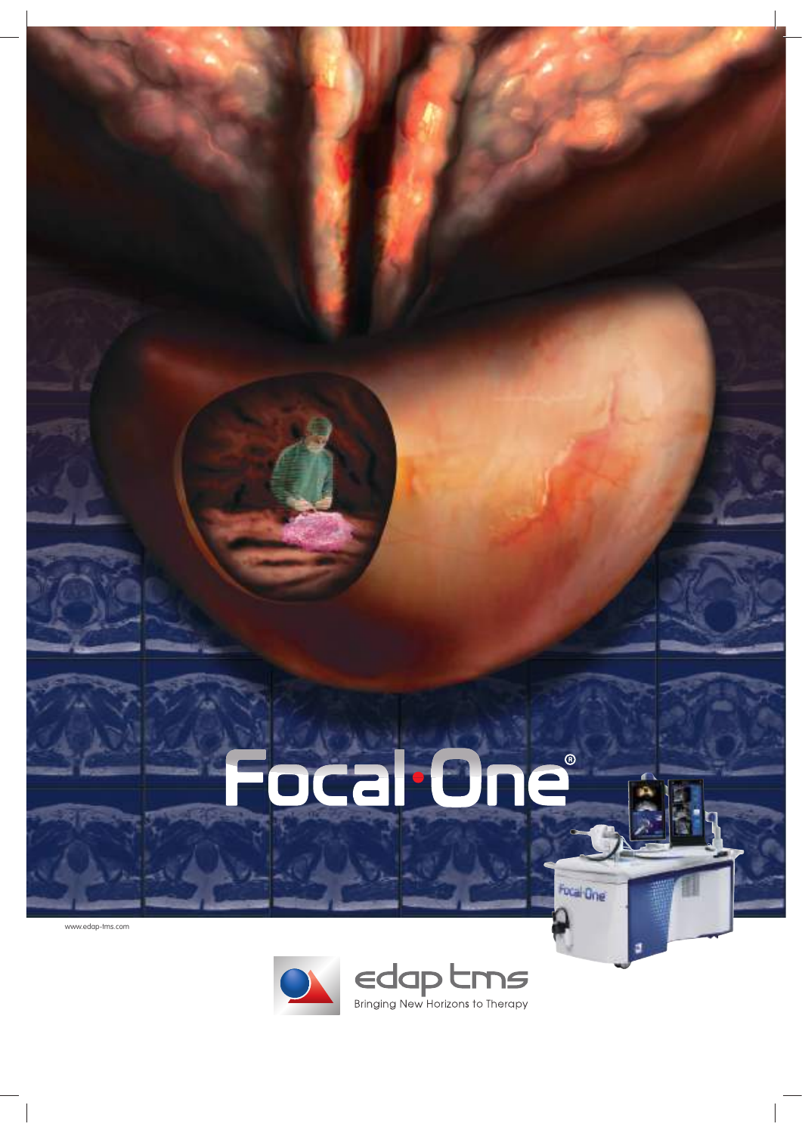# ocal One

Focal One

www.edap-tms.com

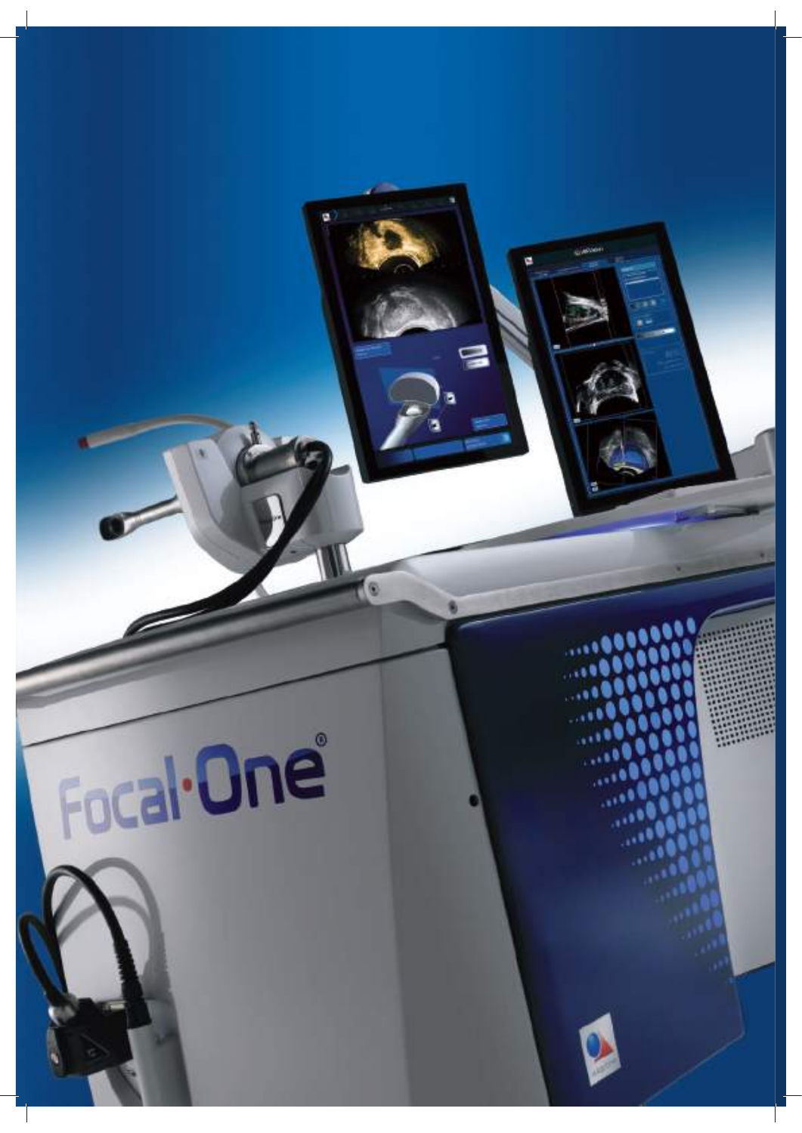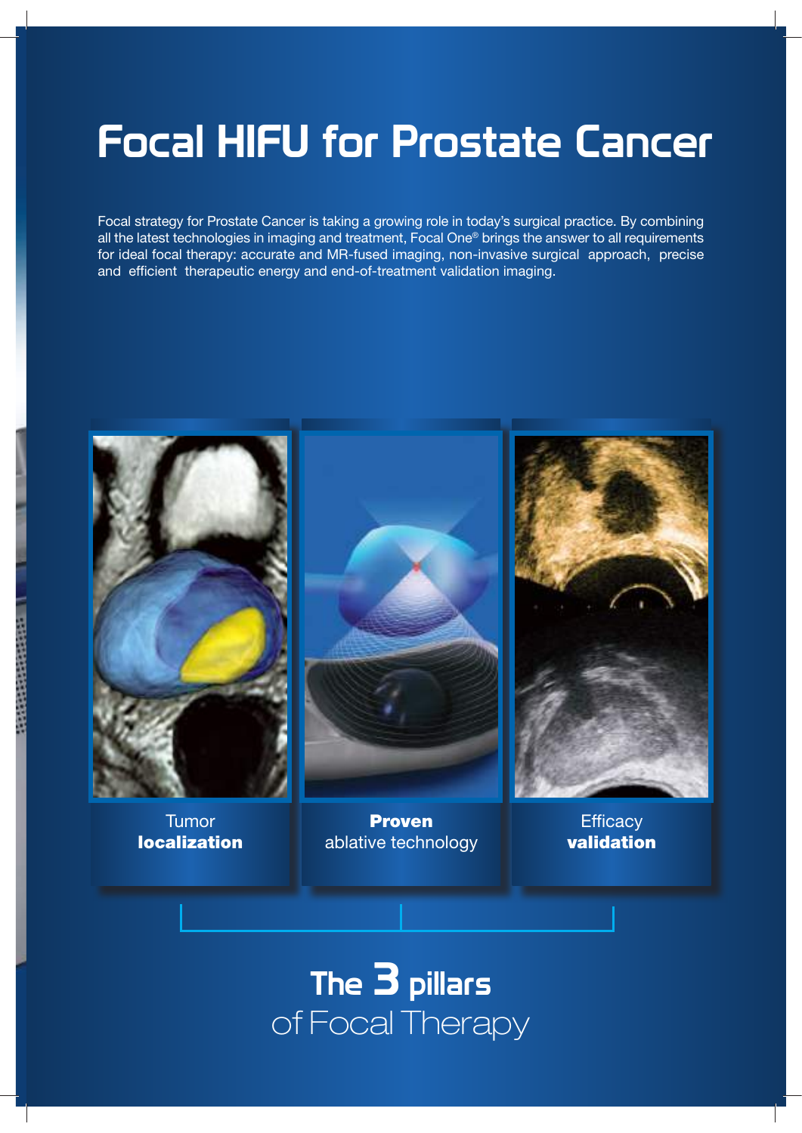## Focal HIFU for Prostate Cancer

Focal strategy for Prostate Cancer is taking a growing role in today's surgical practice. By combining all the latest technologies in imaging and treatment, Focal One® brings the answer to all requirements for ideal focal therapy: accurate and MR-fused imaging, non-invasive surgical approach, precise and efficient therapeutic energy and end-of-treatment validation imaging.



Tumor localization



Proven ablative technology



**Efficacy** validation

The 3 pillars of Focal Therapy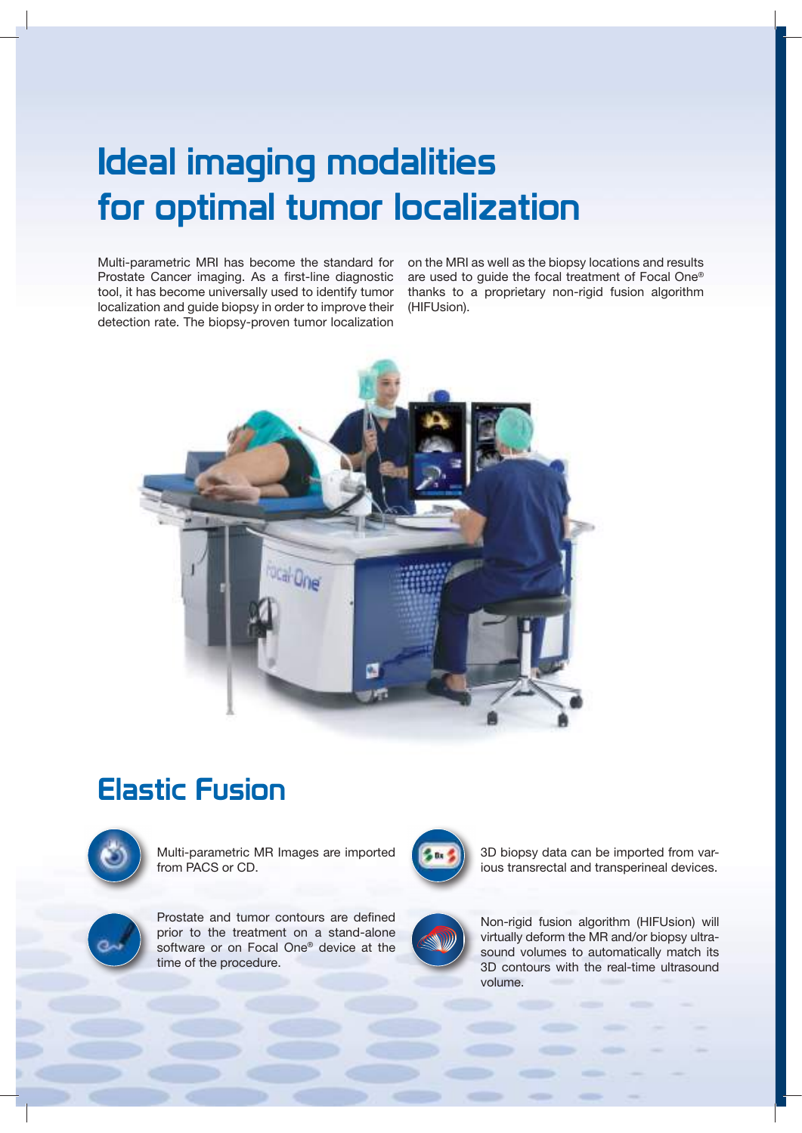## Ideal imaging modalities for optimal tumor localization

Multi-parametric MRI has become the standard for Prostate Cancer imaging. As a first-line diagnostic tool, it has become universally used to identify tumor localization and guide biopsy in order to improve their detection rate. The biopsy-proven tumor localization on the MRI as well as the biopsy locations and results are used to guide the focal treatment of Focal One® thanks to a proprietary non-rigid fusion algorithm (HIFUsion).



### Elastic Fusion



Multi-parametric MR Images are imported from PACS or CD.



3D biopsy data can be imported from various transrectal and transperineal devices.





Non-rigid fusion algorithm (HIFUsion) will virtually deform the MR and/or biopsy ultrasound volumes to automatically match its 3D contours with the real-time ultrasound volume.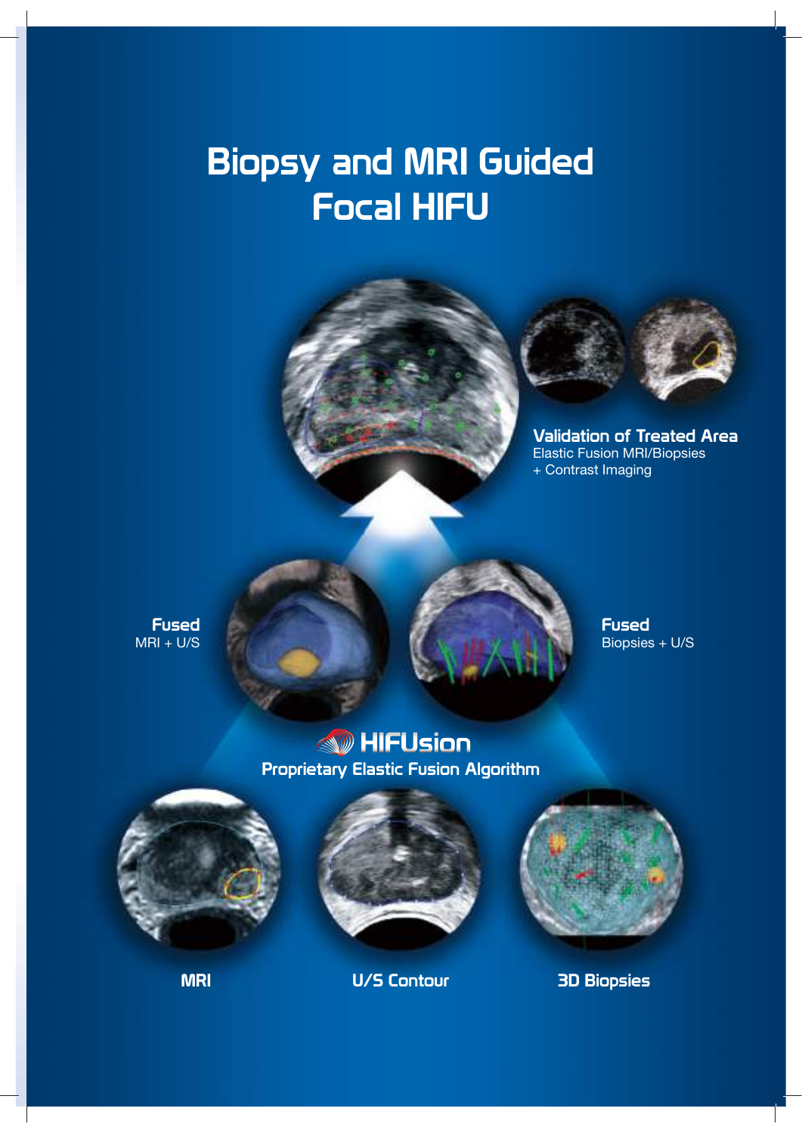## Biopsy and MRI Guided Focal HIFU



Validation of Treated Area Elastic Fusion MRI/Biopsies + Contrast Imaging

Fused

Biopsies + U/S

Fused  $MRI + U/S$ 



#### **W** HIFUsion Proprietary Elastic Fusion Algorithm







MRI U/S Contour 3D Biopsies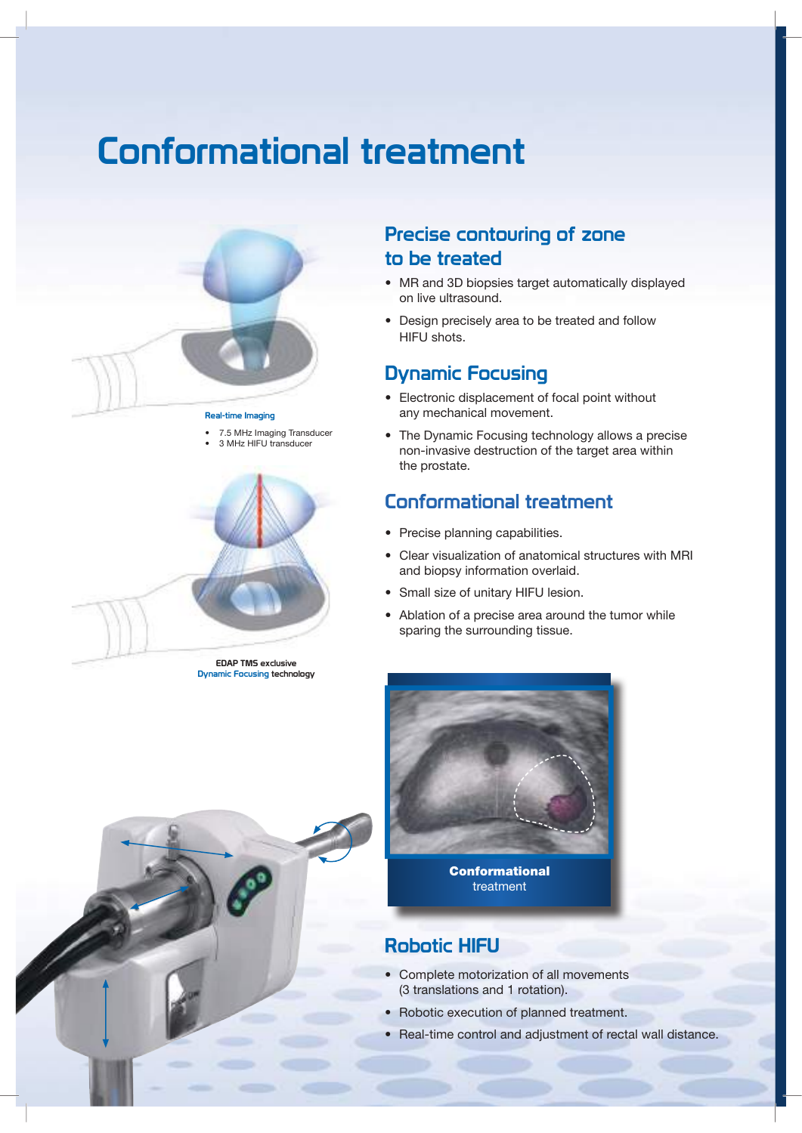## Conformational treatment



• 7.5 MHz Imaging Transducer • 3 MHz HIFU transducer



EDAP TMS exclusive Dynamic Focusing technology

#### Precise contouring of zone to be treated

- MR and 3D biopsies target automatically displayed on live ultrasound.
- Design precisely area to be treated and follow HIFU shots.

#### Dynamic Focusing

- Electronic displacement of focal point without any mechanical movement.
- The Dynamic Focusing technology allows a precise non-invasive destruction of the target area within the prostate.

#### Conformational treatment

- Precise planning capabilities.
- Clear visualization of anatomical structures with MRI and biopsy information overlaid.
- Small size of unitary HIFU lesion.
- Ablation of a precise area around the tumor while sparing the surrounding tissue.



#### Robotic HIFU

- Complete motorization of all movements (3 translations and 1 rotation).
- Robotic execution of planned treatment.
- Real-time control and adjustment of rectal wall distance.

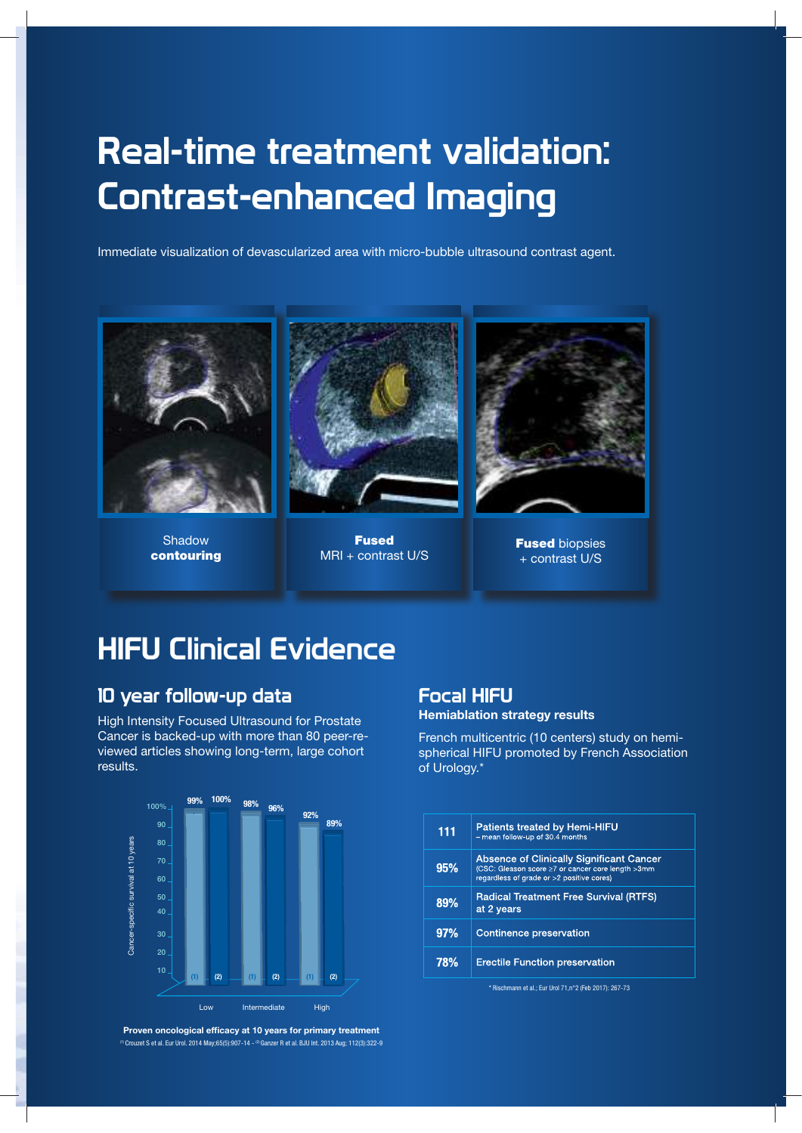## Real-time treatment validation: Contrast-enhanced Imaging

Immediate visualization of devascularized area with micro-bubble ultrasound contrast agent.



**Shadow** contouring



**Fused biopsies** + contrast U/S

French multicentric (10 centers) study on hemispherical HIFU promoted by French Association

Patients treated by Hemi-HIFU

Absence of Clinically Significant Cancer

(CSC: Gleason score ≥7 or cancer core length ><br>regardless of grade or >2 positive cores) Radical Treatment Free Survival (RTFS)

mean follow-up of 30.4 month

## HIFU Clinical Evidence

#### 10 year follow-up data

High Intensity Focused Ultrasound for Prostate Cancer is backed-up with more than 80 peer-reviewed articles showing long-term, large cohort results.



at 2 years 97% Continence preservation

Focal HIFU

of Urology.\*

111

95%

89%

Hemiablation strategy results

78% **Erectile Function preservation** 

\* Rischmann et al.; Eur Urol 71,n°2 (Feb 2017): 267-73

Proven oncological efficacy at 10 years for primary treatment <sup>(1)</sup> Crouzet S et al. Eur Urol. 2014 May;65(5):907-14 - <sup>(2)</sup> Ganzer R et al. BJU Int. 2013 Aug; 112(3):322-9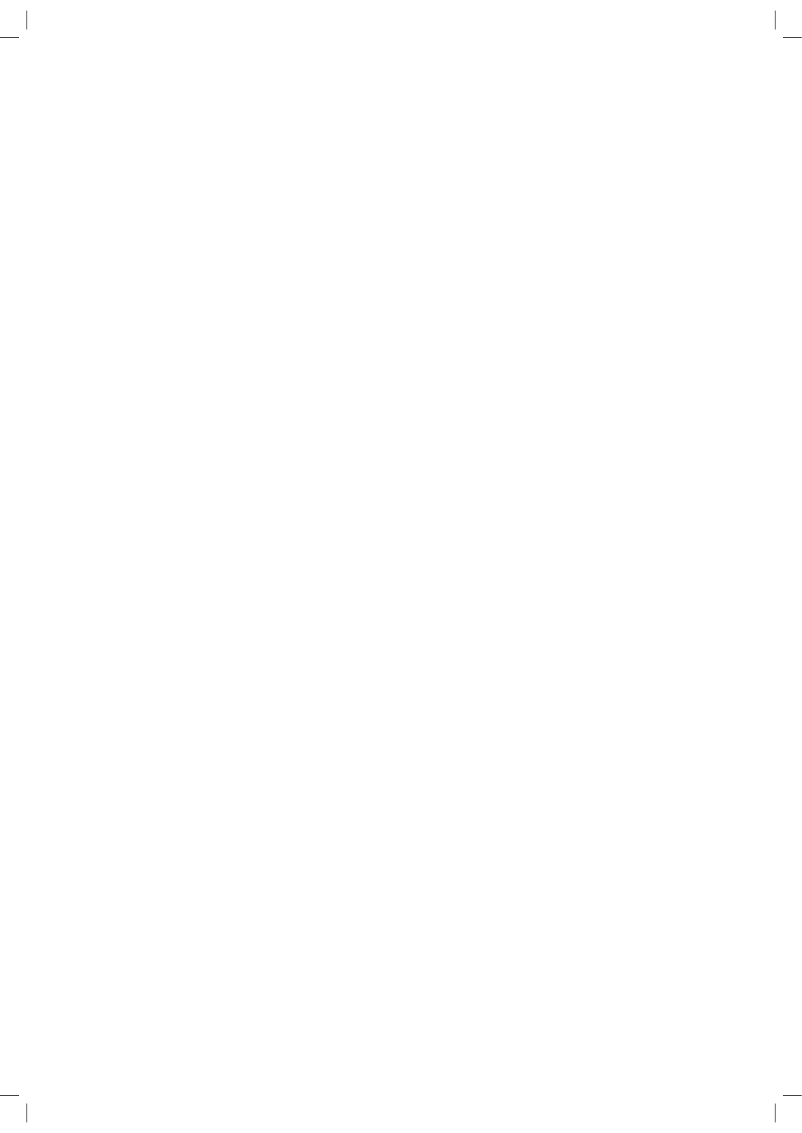$\mathcal{L}^{\mathcal{L}}$ 

 $\overline{\phantom{a}}$